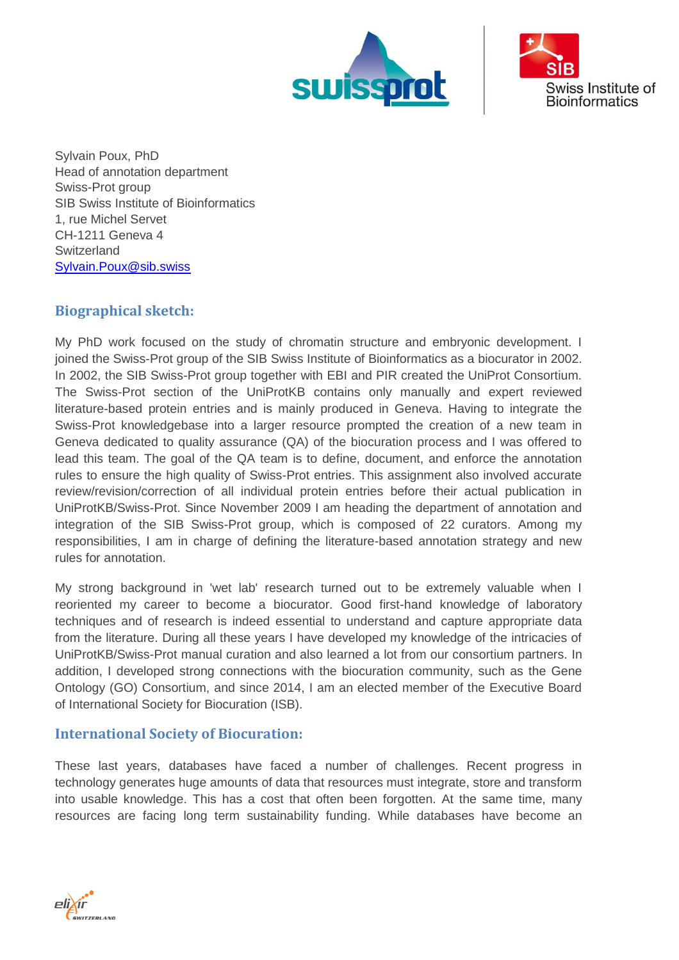



Sylvain Poux, PhD Head of annotation department Swiss-Prot group SIB Swiss Institute of Bioinformatics 1, rue Michel Servet CH-1211 Geneva 4 **Switzerland** [Sylvain.Poux@sib.swiss](mailto:Sylvain.Poux@sib.swiss)

## **Biographical sketch:**

My PhD work focused on the study of chromatin structure and embryonic development. I joined the Swiss-Prot group of the SIB Swiss Institute of Bioinformatics as a biocurator in 2002. In 2002, the SIB Swiss-Prot group together with EBI and PIR created the UniProt Consortium. The Swiss-Prot section of the UniProtKB contains only manually and expert reviewed literature-based protein entries and is mainly produced in Geneva. Having to integrate the Swiss-Prot knowledgebase into a larger resource prompted the creation of a new team in Geneva dedicated to quality assurance (QA) of the biocuration process and I was offered to lead this team. The goal of the QA team is to define, document, and enforce the annotation rules to ensure the high quality of Swiss-Prot entries. This assignment also involved accurate review/revision/correction of all individual protein entries before their actual publication in UniProtKB/Swiss-Prot. Since November 2009 I am heading the department of annotation and integration of the SIB Swiss-Prot group, which is composed of 22 curators. Among my responsibilities, I am in charge of defining the literature-based annotation strategy and new rules for annotation.

My strong background in 'wet lab' research turned out to be extremely valuable when I reoriented my career to become a biocurator. Good first-hand knowledge of laboratory techniques and of research is indeed essential to understand and capture appropriate data from the literature. During all these years I have developed my knowledge of the intricacies of UniProtKB/Swiss-Prot manual curation and also learned a lot from our consortium partners. In addition, I developed strong connections with the biocuration community, such as the Gene Ontology (GO) Consortium, and since 2014, I am an elected member of the Executive Board of International Society for Biocuration (ISB).

## **International Society of Biocuration:**

These last years, databases have faced a number of challenges. Recent progress in technology generates huge amounts of data that resources must integrate, store and transform into usable knowledge. This has a cost that often been forgotten. At the same time, many resources are facing long term sustainability funding. While databases have become an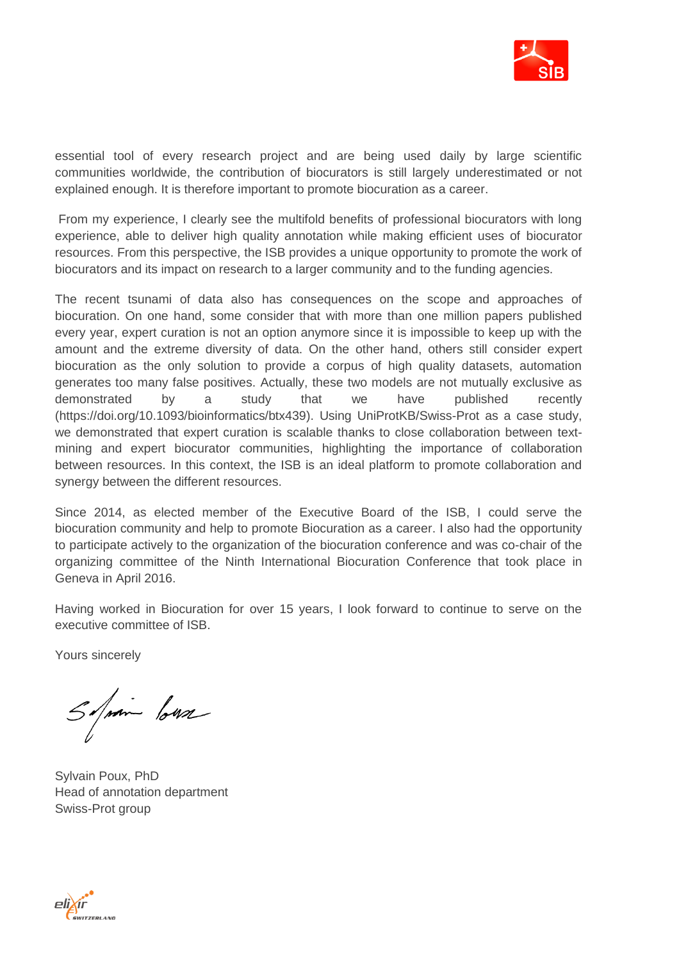

essential tool of every research project and are being used daily by large scientific communities worldwide, the contribution of biocurators is still largely underestimated or not explained enough. It is therefore important to promote biocuration as a career.

From my experience, I clearly see the multifold benefits of professional biocurators with long experience, able to deliver high quality annotation while making efficient uses of biocurator resources. From this perspective, the ISB provides a unique opportunity to promote the work of biocurators and its impact on research to a larger community and to the funding agencies.

The recent tsunami of data also has consequences on the scope and approaches of biocuration. On one hand, some consider that with more than one million papers published every year, expert curation is not an option anymore since it is impossible to keep up with the amount and the extreme diversity of data. On the other hand, others still consider expert biocuration as the only solution to provide a corpus of high quality datasets, automation generates too many false positives. Actually, these two models are not mutually exclusive as demonstrated by a study that we have published recently [\(https://doi.org/10.1093/bioinformatics/btx439\)](https://doi.org/10.1093/bioinformatics/btx439). Using UniProtKB/Swiss-Prot as a case study, we demonstrated that expert curation is scalable thanks to close collaboration between textmining and expert biocurator communities, highlighting the importance of collaboration between resources. In this context, the ISB is an ideal platform to promote collaboration and synergy between the different resources.

Since 2014, as elected member of the Executive Board of the ISB, I could serve the biocuration community and help to promote Biocuration as a career. I also had the opportunity to participate actively to the organization of the biocuration conference and was co-chair of the organizing committee of the Ninth International Biocuration Conference that took place in Geneva in April 2016.

Having worked in Biocuration for over 15 years, I look forward to continue to serve on the executive committee of ISB.

Yours sincerely

Septim lows

Sylvain Poux, PhD Head of annotation department Swiss-Prot group